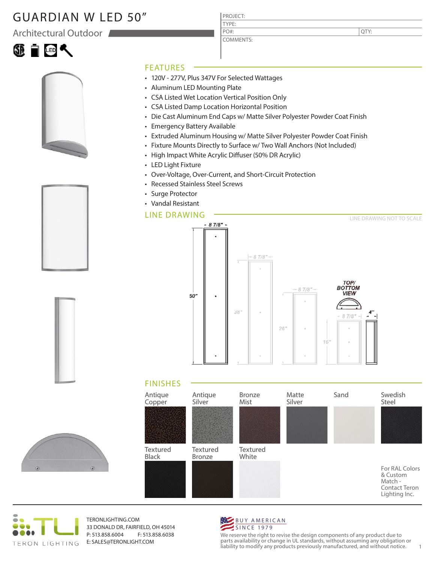# GUARDIAN W LED 50"

Architectural Outdoor





|  | FE        |  |
|--|-----------|--|
|  | $\cdot$ 1 |  |

QTY:

#### **ATURES**

• 120V - 277V, Plus 347V For Selected Wattages

PROJECT: TYPE:

PO#:

COMMENTS:

- Aluminum LED Mounting Plate
- CSA Listed Wet Location Vertical Position Only
- CSA Listed Damp Location Horizontal Position
- Die Cast Aluminum End Caps w/ Matte Silver Polyester Powder Coat Finish
- Emergency Battery Available
- Extruded Aluminum Housing w/ Matte Silver Polyester Powder Coat Finish
- Fixture Mounts Directly to Surface w/ Two Wall Anchors (Not Included)
- High Impact White Acrylic Diffuser (50% DR Acrylic)
- LED Light Fixture
- Over-Voltage, Over-Current, and Short-Circuit Protection
- Recessed Stainless Steel Screws
- Surge Protector
- Vandal Resistant

### LINE DRAWING



## FINISHES





TERONLIGHTING.COM 33 DONALD DR, FAIRFIELD, OH 45014 P: 513.858.6004 F: 513.858.6038 E: SALES@TERONLIGHT.COM



We reserve the right to revise the design components of any product due to parts availability or change in UL standards, without assuming any obligation or liability to modify any products previously manufactured, and without notice. 1